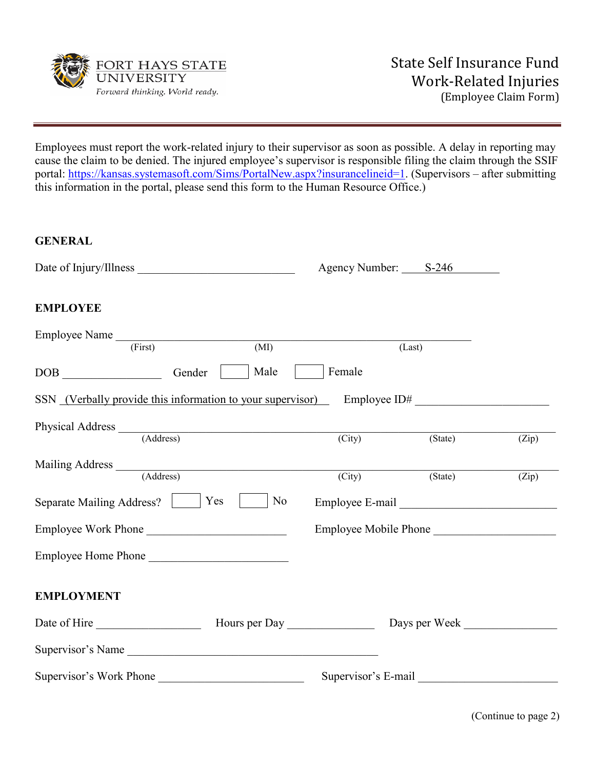

Employees must report the work-related injury to their supervisor as soon as possible. A delay in reporting may cause the claim to be denied. The injured employee's supervisor is responsible filing the claim through the SSIF portal: [https://kansas.systemasoft.com/Sims/PortalNew.aspx?insurancelineid=1.](https://kansas.systemasoft.com/Sims/PortalNew.aspx?insurancelineid=1) (Supervisors – after submitting this information in the portal, please send this form to the Human Resource Office.)

| <b>GENERAL</b>                                                          |                     |                     |                       |       |  |
|-------------------------------------------------------------------------|---------------------|---------------------|-----------------------|-------|--|
|                                                                         |                     |                     | Agency Number: S-246  |       |  |
| <b>EMPLOYEE</b>                                                         |                     |                     |                       |       |  |
| Employee Name (First)                                                   | (MI)                |                     | (Last)                |       |  |
| DOB Gender                                                              | Male                | Female              |                       |       |  |
| SSN (Verbally provide this information to your supervisor) Employee ID# |                     |                     |                       |       |  |
| Physical Address (Address)                                              |                     | $\overline{(City)}$ | (State)               | (Zip) |  |
| Mailing Address (Address)                                               |                     | (City)              | (State)               | (Zip) |  |
| Separate Mailing Address? Ves                                           | No                  |                     |                       |       |  |
| Employee Work Phone                                                     |                     |                     | Employee Mobile Phone |       |  |
| Employee Home Phone                                                     |                     |                     |                       |       |  |
| <b>EMPLOYMENT</b>                                                       |                     |                     |                       |       |  |
| Date of Hire <b>Show The State of Hire</b>                              |                     |                     |                       |       |  |
| Supervisor's Name                                                       |                     |                     |                       |       |  |
| Supervisor's Work Phone                                                 | Supervisor's E-mail |                     |                       |       |  |

(Continue to page 2)